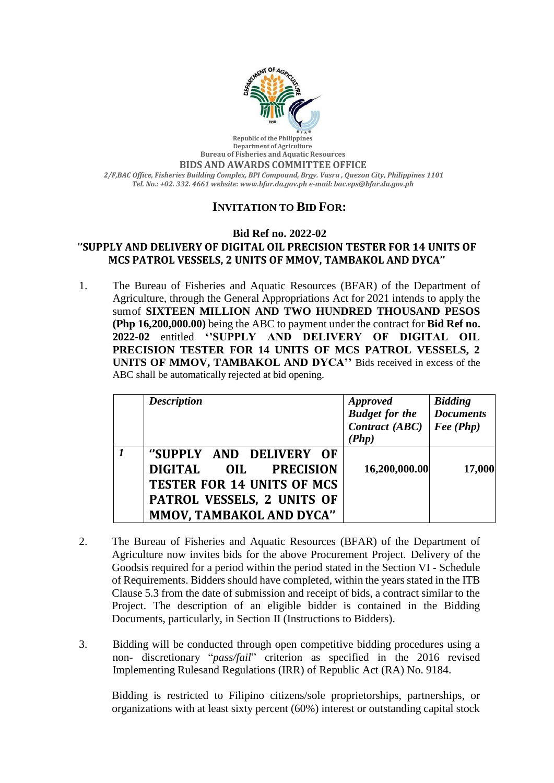

**Republic of the Philippines Department of Agriculture Bureau of Fisheries and Aquatic Resources BIDS AND AWARDS COMMITTEE OFFICE** *2/F,BAC Office, Fisheries Building Complex, BPI Compound, Brgy. Vasra , Quezon City, Philippines 1101 Tel. No.: +02. 332. 4661 website: [www.bfar.da.gov.ph](http://www.bfar.da.gov.ph/) e-mail: [bac.eps@bfar.da.gov.ph](mailto:bac.eps@bfar.da.gov.ph)*

## **INVITATION TO BID FOR:**

## **Bid Ref no. 2022-02**

## **''SUPPLY AND DELIVERY OF DIGITAL OIL PRECISION TESTER FOR 14 UNITS OF MCS PATROL VESSELS, 2 UNITS OF MMOV, TAMBAKOL AND DYCA''**

1. The Bureau of Fisheries and Aquatic Resources (BFAR) of the Department of Agriculture, through the General Appropriations Act for 2021 intends to apply the sumof **SIXTEEN MILLION AND TWO HUNDRED THOUSAND PESOS (Php 16,200,000.00)** being the ABC to payment under the contract for **Bid Ref no. 2022-02** entitled **''SUPPLY AND DELIVERY OF DIGITAL OIL PRECISION TESTER FOR 14 UNITS OF MCS PATROL VESSELS, 2 UNITS OF MMOV, TAMBAKOL AND DYCA''** Bids received in excess of the ABC shall be automatically rejected at bid opening.

| <b>Description</b>                                                                                                                              | <b>Approved</b><br><b>Budget for the</b><br>Contract (ABC)<br>(Php) | <b>Bidding</b><br><b>Documents</b><br>$\textit{Fee}$ (Php) |
|-------------------------------------------------------------------------------------------------------------------------------------------------|---------------------------------------------------------------------|------------------------------------------------------------|
| "SUPPLY AND DELIVERY OF<br>DIGITAL OIL PRECISION<br><b>TESTER FOR 14 UNITS OF MCS</b><br>PATROL VESSELS, 2 UNITS OF<br>MMOV, TAMBAKOL AND DYCA" | 16,200,000.00                                                       | 17,000                                                     |

- 2. The Bureau of Fisheries and Aquatic Resources (BFAR) of the Department of Agriculture now invites bids for the above Procurement Project. Delivery of the Goodsis required for a period within the period stated in the Section VI - Schedule of Requirements. Bidders should have completed, within the years stated in the ITB Clause 5.3 from the date of submission and receipt of bids, a contract similar to the Project. The description of an eligible bidder is contained in the Bidding Documents, particularly, in Section II (Instructions to Bidders).
- 3. Bidding will be conducted through open competitive bidding procedures using a non- discretionary "*pass/fail*" criterion as specified in the 2016 revised Implementing Rulesand Regulations (IRR) of Republic Act (RA) No. 9184.

Bidding is restricted to Filipino citizens/sole proprietorships, partnerships, or organizations with at least sixty percent (60%) interest or outstanding capital stock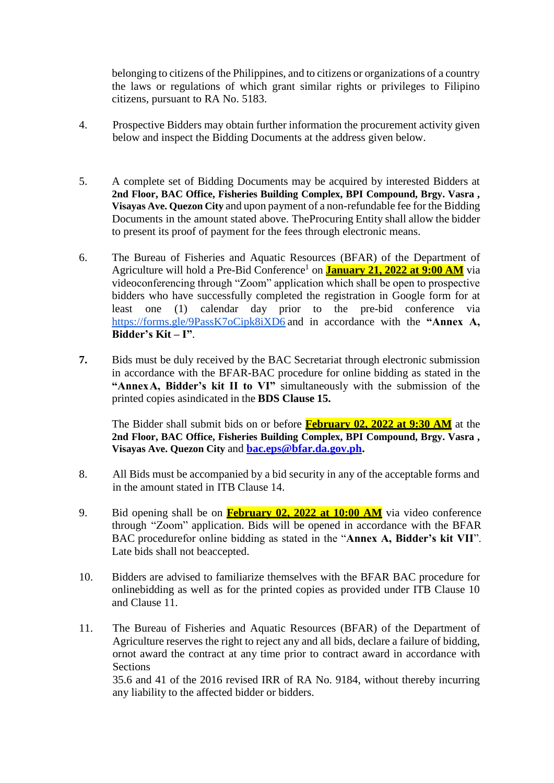belonging to citizens of the Philippines, and to citizens or organizations of a country the laws or regulations of which grant similar rights or privileges to Filipino citizens, pursuant to RA No. 5183.

- 4. Prospective Bidders may obtain further information the procurement activity given below and inspect the Bidding Documents at the address given below.
- 5. A complete set of Bidding Documents may be acquired by interested Bidders at **2nd Floor, BAC Office, Fisheries Building Complex, BPI Compound, Brgy. Vasra , Visayas Ave. Quezon City** and upon payment of a non-refundable fee for the Bidding Documents in the amount stated above. TheProcuring Entity shall allow the bidder to present its proof of payment for the fees through electronic means.
- 6. The Bureau of Fisheries and Aquatic Resources (BFAR) of the Department of Agriculture will hold a Pre-Bid Conference<sup>1</sup> on **January 21, 2022 at 9:00 AM** via videoconferencing through "Zoom" application which shall be open to prospective bidders who have successfully completed the registration in Google form for at least one (1) calendar day prior to the pre-bid conference via <https://forms.gle/9PassK7oCipk8iXD6> and in accordance with the **"Annex A, Bidder's Kit – I"**.
- **7.** Bids must be duly received by the BAC Secretariat through electronic submission in accordance with the BFAR-BAC procedure for online bidding as stated in the **"AnnexA, Bidder's kit II to VI"** simultaneously with the submission of the printed copies asindicated in the **BDS Clause 15.**

The Bidder shall submit bids on or before **February 02, 2022 at 9:30 AM** at the **2nd Floor, BAC Office, Fisheries Building Complex, BPI Compound, Brgy. Vasra , Visayas Ave. Quezon City** and **[bac.eps@bfar.da.gov.ph.](mailto:bac.eps@bfar.da.gov.ph)**

- 8. All Bids must be accompanied by a bid security in any of the acceptable forms and in the amount stated in ITB Clause 14.
- 9. Bid opening shall be on **February 02, 2022 at 10:00 AM** via video conference through "Zoom" application. Bids will be opened in accordance with the BFAR BAC procedurefor online bidding as stated in the "**Annex A, Bidder's kit VII**". Late bids shall not beaccepted.
- 10. Bidders are advised to familiarize themselves with the BFAR BAC procedure for onlinebidding as well as for the printed copies as provided under ITB Clause 10 and Clause 11.
- 11. The Bureau of Fisheries and Aquatic Resources (BFAR) of the Department of Agriculture reserves the right to reject any and all bids, declare a failure of bidding, ornot award the contract at any time prior to contract award in accordance with **Sections**

35.6 and 41 of the 2016 revised IRR of RA No. 9184, without thereby incurring any liability to the affected bidder or bidders.